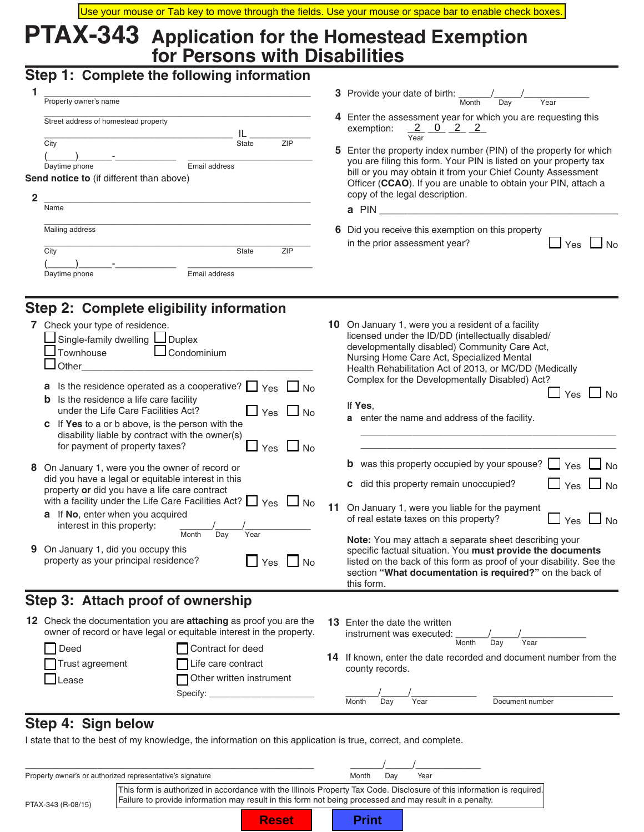# **PTAX-343 Application for the Homestead Exemption for Persons with Disabilities**

### **Step 1: Complete the following information**

| Property owner's name                                                                                                                                    |  | 3 Provide your date of birth:<br>Month<br>Dav<br>Year                                                                                                                                                                      |  |
|----------------------------------------------------------------------------------------------------------------------------------------------------------|--|----------------------------------------------------------------------------------------------------------------------------------------------------------------------------------------------------------------------------|--|
| Street address of homestead property<br>ZIP<br>City<br><b>State</b><br>Daytime phone<br>Email address<br><b>Send notice to</b> (if different than above) |  | 4 Enter the assessment year for which you are requesting th<br>exemption: $2 \t 0 \t 2 \t 2$<br>Year<br>5 Enter the property index number (PIN) of the property for                                                        |  |
|                                                                                                                                                          |  | you are filing this form. Your PIN is listed on your property<br>bill or you may obtain it from your Chief County Assessme<br>Officer (CCAO). If you are unable to obtain your PIN, atta<br>copy of the legal description. |  |
| Name                                                                                                                                                     |  | a PIN                                                                                                                                                                                                                      |  |
| Mailing address                                                                                                                                          |  | 6 Did you receive this exemption on this property                                                                                                                                                                          |  |

|                          | <b>State</b> |  |
|--------------------------|--------------|--|
| $\overline{\phantom{a}}$ |              |  |

# **Step 2: Complete eligibility information**

Trust agreement File care contract Lease **Dease Other written instrument** 

Specify:

| 7 Check your type of residence.<br>Single-family dwelling Louplex<br>Townhouse<br>$\Box$ Condominium<br>$\Box$ Other<br>Is the residence operated as a cooperative? $\Box$ Yes $\Box$ No<br>a<br>Is the residence a life care facility<br>b<br>under the Life Care Facilities Act?<br>$\Box$ Yes $\Box$ No<br>If Yes to a or b above, is the person with the<br>disability liable by contract with the owner(s)<br>for payment of property taxes?<br>$\Box$ No<br>Yes<br>8 On January 1, were you the owner of record or<br>did you have a legal or equitable interest in this<br>property or did you have a life care contract<br>with a facility under the Life Care Facilities Act? $\Box$ Yes $\Box$ No<br><b>a</b> If No, enter when you acquired<br>interest in this property:<br>Year<br>Month<br>Day<br>9 On January 1, did you occupy this<br>property as your principal residence?<br>$\Box$ Yes<br>$\overline{\phantom{a}}$ No | 11 | 10 On January 1, were you a resident of a facility<br>licensed under the ID/DD (intellectually disabled/<br>developmentally disabled) Community Care Act,<br>Nursing Home Care Act, Specialized Mental<br>Health Rehabilitation Act of 2013, or MC/DD (Medically<br>Complex for the Developmentally Disabled) Act?<br>Yes<br>No.<br>If Yes,<br>a enter the name and address of the facility.<br><b>b</b> was this property occupied by your spouse? $\Box$ Yes $\Box$ No<br>c did this property remain unoccupied?<br>$\Box$ Yes $\Box$ No<br>On January 1, were you liable for the payment<br>$\Box$ No<br>of real estate taxes on this property?<br>Yes<br>Note: You may attach a separate sheet describing your<br>specific factual situation. You must provide the documents<br>listed on the back of this form as proof of your disability. See the |
|-------------------------------------------------------------------------------------------------------------------------------------------------------------------------------------------------------------------------------------------------------------------------------------------------------------------------------------------------------------------------------------------------------------------------------------------------------------------------------------------------------------------------------------------------------------------------------------------------------------------------------------------------------------------------------------------------------------------------------------------------------------------------------------------------------------------------------------------------------------------------------------------------------------------------------------------|----|----------------------------------------------------------------------------------------------------------------------------------------------------------------------------------------------------------------------------------------------------------------------------------------------------------------------------------------------------------------------------------------------------------------------------------------------------------------------------------------------------------------------------------------------------------------------------------------------------------------------------------------------------------------------------------------------------------------------------------------------------------------------------------------------------------------------------------------------------------|
|                                                                                                                                                                                                                                                                                                                                                                                                                                                                                                                                                                                                                                                                                                                                                                                                                                                                                                                                           |    | section "What documentation is required?" on the back of<br>this form.                                                                                                                                                                                                                                                                                                                                                                                                                                                                                                                                                                                                                                                                                                                                                                                   |
| Step 3: Attach proof of ownership                                                                                                                                                                                                                                                                                                                                                                                                                                                                                                                                                                                                                                                                                                                                                                                                                                                                                                         |    |                                                                                                                                                                                                                                                                                                                                                                                                                                                                                                                                                                                                                                                                                                                                                                                                                                                          |
| 12 Check the documentation you are <b>attaching</b> as proof you are the<br>owner of record or have legal or equitable interest in the property.<br>Deed<br>Contract for deed                                                                                                                                                                                                                                                                                                                                                                                                                                                                                                                                                                                                                                                                                                                                                             |    | <b>13</b> Enter the date the written<br>instrument was executed:<br>Year<br>Month<br>Day                                                                                                                                                                                                                                                                                                                                                                                                                                                                                                                                                                                                                                                                                                                                                                 |

**14** If known, enter the date recorded and document number from the county records.

\_\_\_\_\_\_/\_\_\_\_\_/\_\_\_\_\_\_\_\_\_\_\_\_ \_\_\_\_\_\_\_\_\_\_\_\_\_\_\_\_\_\_\_\_\_\_

Month Day Year Document number

**5** Enter the property index number (PIN) of the property for which you are filing this form. Your PIN is listed on your property tax bill or you may obtain it from your Chief County Assessment Officer (**CCAO**). If you are unable to obtain your PIN, attach a

in the prior assessment year?  $\Box$   $\gamma$ es  $\Box$  No

## **Step 4: Sign below**

I state that to the best of my knowledge, the information on this application is true, correct, and complete.

|                    | Property owner's or authorized representative's signature                                                                                                                                                                         |              | Month        | Dav | Year |  |
|--------------------|-----------------------------------------------------------------------------------------------------------------------------------------------------------------------------------------------------------------------------------|--------------|--------------|-----|------|--|
| PTAX-343 (R-08/15) | This form is authorized in accordance with the Illinois Property Tax Code. Disclosure of this information is required.<br>Failure to provide information may result in this form not being processed and may result in a penalty. |              |              |     |      |  |
|                    |                                                                                                                                                                                                                                   | <b>Reset</b> | <b>Print</b> |     |      |  |